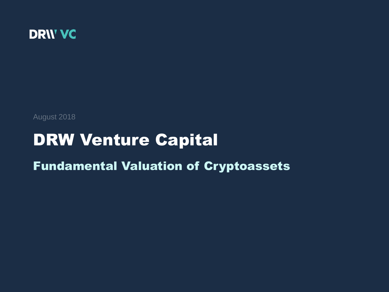

August 2018

## DRW Venture Capital

## Fundamental Valuation of Cryptoassets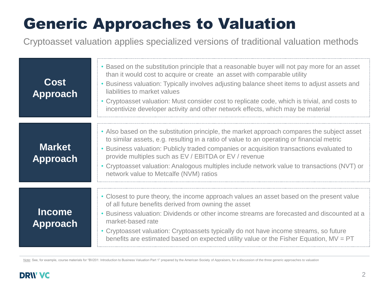# Generic Approaches to Valuation

Cryptoasset valuation applies specialized versions of traditional valuation methods

| Cost<br><b>Approach</b>          | • Based on the substitution principle that a reasonable buyer will not pay more for an asset<br>than it would cost to acquire or create an asset with comparable utility<br>• Business valuation: Typically involves adjusting balance sheet items to adjust assets and<br>liabilities to market values<br>• Cryptoasset valuation: Must consider cost to replicate code, which is trivial, and costs to<br>incentivize developer activity and other network effects, which may be material |
|----------------------------------|---------------------------------------------------------------------------------------------------------------------------------------------------------------------------------------------------------------------------------------------------------------------------------------------------------------------------------------------------------------------------------------------------------------------------------------------------------------------------------------------|
| <b>Market</b><br><b>Approach</b> | • Also based on the substitution principle, the market approach compares the subject asset<br>to similar assets, e.g. resulting in a ratio of value to an operating or financial metric<br>Business valuation: Publicly traded companies or acquisition transactions evaluated to<br>provide multiples such as EV / EBITDA or EV / revenue<br>• Cryptoasset valuation: Analogous multiples include network value to transactions (NVT) or<br>network value to Metcalfe (NVM) ratios         |
| <b>Income</b><br>Approach        | • Closest to pure theory, the income approach values an asset based on the present value<br>of all future benefits derived from owning the asset<br>• Business valuation: Dividends or other income streams are forecasted and discounted at a<br>market-based rate<br>• Cryptoasset valuation: Cryptoassets typically do not have income streams, so future<br>benefits are estimated based on expected utility value or the Fisher Equation, $MV = PT$                                    |

Note: See, for example, course materials for "BV201: Introduction to Business Valuation Part 1" prepared by the American Society of Appraisers, for a discussion of the three generic approaches to valuation

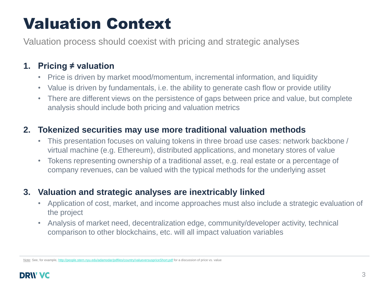## Valuation Context

Valuation process should coexist with pricing and strategic analyses

### **1. Pricing ≠ valuation**

- Price is driven by market mood/momentum, incremental information, and liquidity
- Value is driven by fundamentals, i.e. the ability to generate cash flow or provide utility
- There are different views on the persistence of gaps between price and value, but complete analysis should include both pricing and valuation metrics

### **2. Tokenized securities may use more traditional valuation methods**

- This presentation focuses on valuing tokens in three broad use cases: network backbone / virtual machine (e.g. Ethereum), distributed applications, and monetary stores of value
- Tokens representing ownership of a traditional asset, e.g. real estate or a percentage of company revenues, can be valued with the typical methods for the underlying asset

## **3. Valuation and strategic analyses are inextricably linked**

- Application of cost, market, and income approaches must also include a strategic evaluation of the project
- Analysis of market need, decentralization edge, community/developer activity, technical comparison to other blockchains, etc. will all impact valuation variables

Note: See, for example, <http://people.stern.nyu.edu/adamodar/pdfiles/country/valueversuspriceShort.pdf> for a discussion of price vs. value

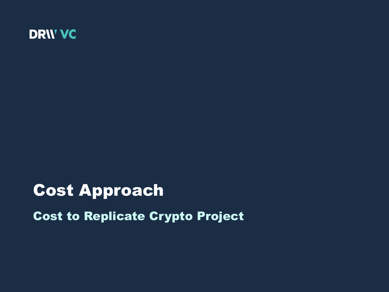

## Cost Approach

Cost to Replicate Crypto Project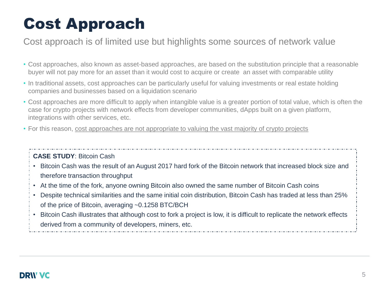# Cost Approach

## Cost approach is of limited use but highlights some sources of network value

- Cost approaches, also known as asset-based approaches, are based on the substitution principle that a reasonable buyer will not pay more for an asset than it would cost to acquire or create an asset with comparable utility
- In traditional assets, cost approaches can be particularly useful for valuing investments or real estate holding companies and businesses based on a liquidation scenario
- Cost approaches are more difficult to apply when intangible value is a greater portion of total value, which is often the case for crypto projects with network effects from developer communities, dApps built on a given platform, integrations with other services, etc.
- For this reason, cost approaches are not appropriate to valuing the vast majority of crypto projects

### **CASE STUDY**: Bitcoin Cash

• Bitcoin Cash was the result of an August 2017 hard fork of the Bitcoin network that increased block size and therefore transaction throughput

- At the time of the fork, anyone owning Bitcoin also owned the same number of Bitcoin Cash coins
- Despite technical similarities and the same initial coin distribution, Bitcoin Cash has traded at less than 25% of the price of Bitcoin, averaging ~0.1258 BTC/BCH
- Bitcoin Cash illustrates that although cost to fork a project is low, it is difficult to replicate the network effects derived from a community of developers, miners, etc.

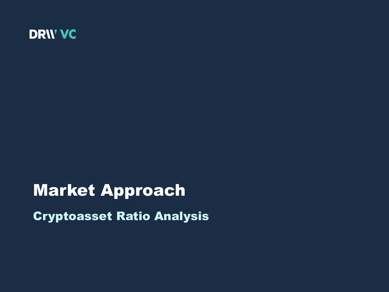

# Market Approach Cryptoasset Ratio Analysis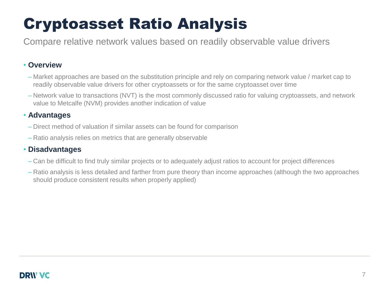# Cryptoasset Ratio Analysis

Compare relative network values based on readily observable value drivers

### • **Overview**

- Market approaches are based on the substitution principle and rely on comparing network value / market cap to readily observable value drivers for other cryptoassets or for the same cryptoasset over time
- Network value to transactions (NVT) is the most commonly discussed ratio for valuing cryptoassets, and network value to Metcalfe (NVM) provides another indication of value

### • **Advantages**

- Direct method of valuation if similar assets can be found for comparison
- Ratio analysis relies on metrics that are generally observable

### • **Disadvantages**

- Can be difficult to find truly similar projects or to adequately adjust ratios to account for project differences
- Ratio analysis is less detailed and farther from pure theory than income approaches (although the two approaches should produce consistent results when properly applied)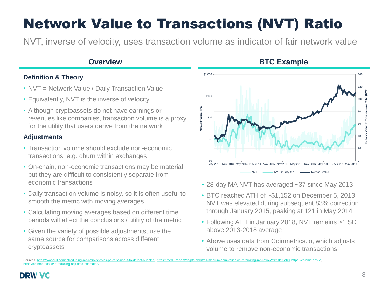## Network Value to Transactions (NVT) Ratio

NVT, inverse of velocity, uses transaction volume as indicator of fair network value

### **Definition & Theory**

- NVT = Network Value / Daily Transaction Value
- Equivalently, NVT is the inverse of velocity
- Although cryptoassets do not have earnings or revenues like companies, transaction volume is a proxy for the utility that users derive from the network

### **Adjustments**

- Transaction volume should exclude non-economic transactions, e.g. churn within exchanges
- On-chain, non-economic transactions may be material, but they are difficult to consistently separate from economic transactions
- Daily transaction volume is noisy, so it is often useful to smooth the metric with moving averages
- Calculating moving averages based on different time periods will affect the conclusions / utility of the metric
- Given the variety of possible adjustments, use the same source for comparisons across different cryptoassets



- 28-day MA NVT has averaged ~37 since May 2013
- BTC reached ATH of ~\$1,152 on December 5, 2013. NVT was elevated during subsequent 83% correction through January 2015, peaking at 121 in May 2014
- Following ATH in January 2018, NVT remains >1 SD above 2013-2018 average
- Above uses data from Coinmetrics.io, which adjusts volume to remove non-economic transactions

Sources: <https://woobull.com/introducing-nvt-ratio-bitcoins-pe-ratio-use-it-to-detect-bubbles/>,<https://medium.com/cryptolab/https-medium-com-kalichkin-rethinking-nvt-ratio-2cf810df0ab0>, [https://coinmetrics.io,](https://coinmetrics.io/) https://cointroducing-adjusted-estimates/

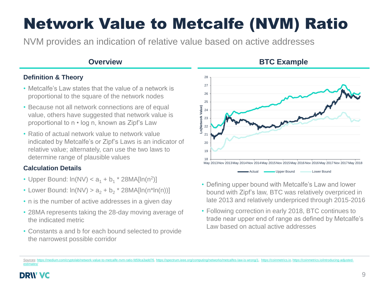# Network Value to Metcalfe (NVM) Ratio

NVM provides an indication of relative value based on active addresses

### **Overview <b>BTC Example**

### **Definition & Theory**

- Metcalfe's Law states that the value of a network is proportional to the square of the network nodes
- Because not all network connections are of equal value, others have suggested that network value is proportional to n • log n, known as Zipf's Law
- Ratio of actual network value to network value indicated by Metcalfe's or Zipf's Laws is an indicator of relative value; alternately, can use the two laws to determine range of plausible values

### **Calculation Details**

- Upper Bound:  $ln(NV) < a_1 + b_1 * 28MA[ln(n^2)]$
- Lower Bound:  $ln(NV) > a_2 + b_2 * 28MA[ln(n*ln(n))]$
- n is the number of active addresses in a given day
- 28MA represents taking the 28-day moving average of the indicated metric
- Constants a and b for each bound selected to provide the narrowest possible corridor



- Defining upper bound with Metcalfe's Law and lower bound with Zipf's law, BTC was relatively overpriced in late 2013 and relatively underpriced through 2015-2016
- Following correction in early 2018, BTC continues to trade near upper end of range as defined by Metcalfe's Law based on actual active addresses

Sources: https://medium.com/cryptolab/network-value-to-metcalfe-nym-ratio-fd59ca3add76, [https://spectrum.ieee.org/computing/networks/metcalfes-law-is-wrong/1,](https://spectrum.ieee.org/computing/networks/metcalfes-law-is-wrong/1) [https://coinmetrics.io,](https://coinmetrics.io/) https://coi [estimates/](https://coinmetrics.io/introducing-adjusted-estimates/)

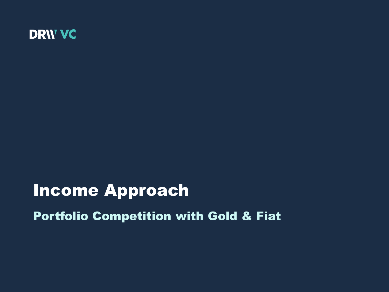

## Income Approach

Portfolio Competition with Gold & Fiat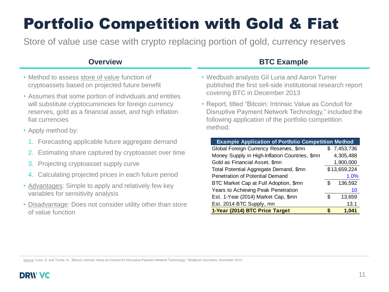# Portfolio Competition with Gold & Fiat

Store of value use case with crypto replacing portion of gold, currency reserves

- Method to assess store of value function of cryptoassets based on projected future benefit
- Assumes that some portion of individuals and entities will substitute cryptocurrencies for foreign currency reserves, gold as a financial asset, and high inflation fiat currencies
- Apply method by:
	- 1. Forecasting applicable future aggregate demand
	- 2. Estimating share captured by cryptoasset over time
	- 3. Projecting cryptoasset supply curve
	- 4. Calculating projected prices in each future period
- Advantages: Simple to apply and relatively few key variables for sensitivity analysis
- Disadvantage: Does not consider utility other than store of value function

### **Overview <b>BTC Example**

- Wedbush analysts Gil Luria and Aaron Turner published the first sell-side institutional research report covering BTC in December 2013
- Report, titled "Bitcoin: Intrinsic Value as Conduit for Disruptive Payment Network Technology," included the following application of the portfolio competition method:

| 1. Forecasting applicable future aggregate demand                                                                                                     | <b>Example Application of Portfolio Competition Method</b>                               |                          |
|-------------------------------------------------------------------------------------------------------------------------------------------------------|------------------------------------------------------------------------------------------|--------------------------|
| 2. Estimating share captured by cryptoasset over time                                                                                                 | Global Foreign Currency Reserves, \$mn<br>Money Supply in High-Inflation Countries, \$mn | \$7,453,736<br>4,305,488 |
| 3. Projecting cryptoasset supply curve                                                                                                                | Gold as Financial Asset, \$mn                                                            | 1,900,000                |
| 4. Calculating projected prices in each future period                                                                                                 | Total Potential Aggregate Demand, \$mn<br>Penetration of Potential Demand                | \$13,659,224<br>$1.0\%$  |
| • Advantages: Simple to apply and relatively few key<br>variables for sensitivity analysis                                                            | BTC Market Cap at Full Adoption, \$mn<br>Years to Achieving Peak Penetration             | 136,592<br>S<br>10       |
| • Disadvantage: Does not consider utility other than store                                                                                            | Est. 1-Year (2014) Market Cap, \$mn<br>Est. 2014 BTC Supply, mn                          | \$<br>13,659<br>13.1     |
| of value function                                                                                                                                     | 1-Year (2014) BTC Price Target                                                           | 1,041<br>S.              |
|                                                                                                                                                       |                                                                                          |                          |
| Source: Luria, G. and Turner, A., "Bitcoin: Intrinsic Value as Conduit for Disruptive Payment Network Technology," Wedbush Securities, December 2013. |                                                                                          |                          |

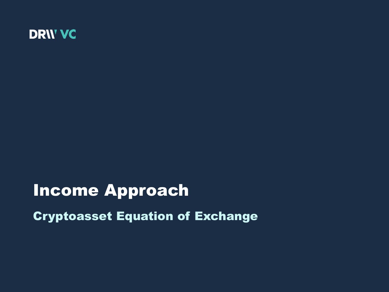

## Income Approach

Cryptoasset Equation of Exchange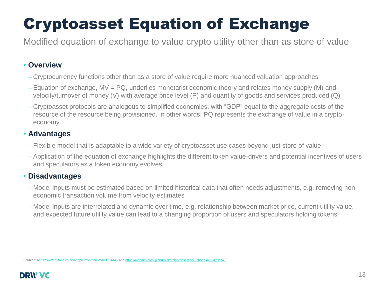# Cryptoasset Equation of Exchange

Modified equation of exchange to value crypto utility other than as store of value

### • **Overview**

- Cryptocurrency functions other than as a store of value require more nuanced valuation approaches
- Equation of exchange, MV = PQ, underlies monetarist economic theory and relates money supply (M) and velocity/turnover of money (V) with average price level (P) and quantity of goods and services produced (Q)
- Cryptoasset protocols are analogous to simplified economies, with "GDP" equal to the aggregate costs of the resource of the resource being provisioned. In other words, PQ represents the exchange of value in a cryptoeconomy

### • **Advantages**

- Flexible model that is adaptable to a wide variety of cryptoasset use cases beyond just store of value
- Application of the equation of exchange highlights the different token value-drivers and potential incentives of users and speculators as a token economy evolves

### • **Disadvantages**

- Model inputs must be estimated based on limited historical data that often needs adjustments, e.g. removing noneconomic transaction volume from velocity estimates
- Model inputs are interrelated and dynamic over time, e.g. relationship between market price, current utility value, and expected future utility value can lead to a changing proportion of users and speculators holding tokens

Sources: <https://www.britannica.com/topic/monetarism#ref184445> and <https://medium.com/@cburniske/cryptoasset-valuations-ac83479ffca7>

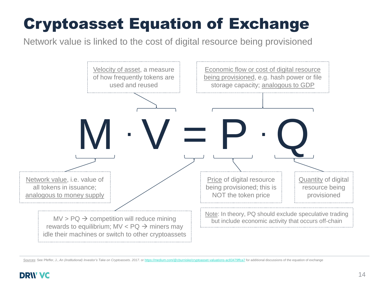# Cryptoasset Equation of Exchange

Network value is linked to the cost of digital resource being provisioned



Sources: See Pfeffer, J., *An (Institutional) Investor's Take on Cryptoassets. 2017.* or <https://medium.com/@cburniske/cryptoasset-valuations-ac83479ffca7> for additional discussions of the equation of exchange

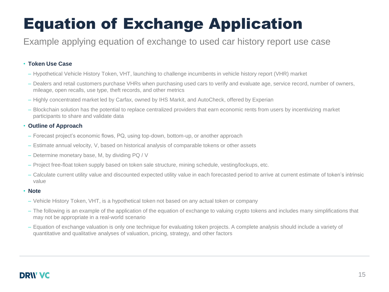### Example applying equation of exchange to used car history report use case

### • **Token Use Case**

- Hypothetical Vehicle History Token, VHT, launching to challenge incumbents in vehicle history report (VHR) market
- Dealers and retail customers purchase VHRs when purchasing used cars to verify and evaluate age, service record, number of owners, mileage, open recalls, use type, theft records, and other metrics
- Highly concentrated market led by Carfax, owned by IHS Markit, and AutoCheck, offered by Experian
- Blockchain solution has the potential to replace centralized providers that earn economic rents from users by incentivizing market participants to share and validate data

### • **Outline of Approach**

- Forecast project's economic flows, PQ, using top-down, bottom-up, or another approach
- Estimate annual velocity, V, based on historical analysis of comparable tokens or other assets
- Determine monetary base, M, by dividing PQ / V
- Project free-float token supply based on token sale structure, mining schedule, vesting/lockups, etc.
- Calculate current utility value and discounted expected utility value in each forecasted period to arrive at current estimate of token's intrinsic value

### • **Note**

- Vehicle History Token, VHT, is a hypothetical token not based on any actual token or company
- The following is an example of the application of the equation of exchange to valuing crypto tokens and includes many simplifications that may not be appropriate in a real-world scenario
- Equation of exchange valuation is only one technique for evaluating token projects. A complete analysis should include a variety of quantitative and qualitative analyses of valuation, pricing, strategy, and other factors

## **DRIV VC**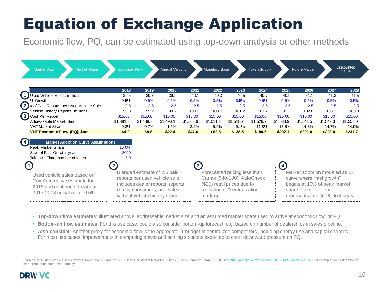Economic flow, PQ, can be estimated using top-down analysis or other methods

| <b>Market Size</b><br><b>Market Share</b>                                                                                     | <b>Economic Flow</b>                                                                                                                                                               |           | <b>Annual Velocity</b> |           | Monetary Base                                                                                                                           |           | <b>Token Supply</b> |                | <b>Future Value</b>                                                                                                                                    |           | <b>Discounted</b><br>Value |
|-------------------------------------------------------------------------------------------------------------------------------|------------------------------------------------------------------------------------------------------------------------------------------------------------------------------------|-----------|------------------------|-----------|-----------------------------------------------------------------------------------------------------------------------------------------|-----------|---------------------|----------------|--------------------------------------------------------------------------------------------------------------------------------------------------------|-----------|----------------------------|
|                                                                                                                               | 2018                                                                                                                                                                               | 2019      | 2020                   | 2021      | 2022                                                                                                                                    | 2023      | 2024                | 2025           | 2026                                                                                                                                                   | 2027      | 2028                       |
| Used Vehicle Sales, millions                                                                                                  | 39.5                                                                                                                                                                               | 39.7      | 39.9                   | 40.1      | 40.3                                                                                                                                    | 40.5      | 40.7                | 40.9           | 41.1                                                                                                                                                   | 41.3      | 41.5                       |
| % Growth                                                                                                                      | 0.5%                                                                                                                                                                               | 0.5%      | 0.5%                   | 0.5%      | 0.5%                                                                                                                                    | 0.5%      | 0.5%                | 0.5%           | 0.5%                                                                                                                                                   | 0.5%      | 0.5%                       |
| $(2)$ # of Paid Reports per Used Vehicle Sale                                                                                 | 2.5                                                                                                                                                                                | 2.5       | 2.5                    | 2.5       | 2.5                                                                                                                                     | 2.5       | 2.5                 | 2.5            | 2.5                                                                                                                                                    | 2.5       |                            |
| Vehicle History Reports, millions                                                                                             | 98.8                                                                                                                                                                               | 99.2      | 99.7                   | 100.2     | 100.7                                                                                                                                   | 101.2     | 101.7               | 102.3          | 102.8                                                                                                                                                  | 103.3     | 103.8                      |
| (3) Cost Per Report                                                                                                           | \$15.00                                                                                                                                                                            | \$15.00   | \$15.00                | \$15.00   | \$15.00                                                                                                                                 | \$15.00   | \$15.00             | \$15.00        | \$15.00                                                                                                                                                | \$15.00   | \$15.00                    |
| Addressable Market, \$mn                                                                                                      | \$1,481.3                                                                                                                                                                          | \$1,488.7 | \$1,496.1              | \$1,503.6 | \$1,511.1                                                                                                                               | \$1,518.7 | \$1,526.2           | \$1,533.9      | \$1,541.5                                                                                                                                              | \$1,549.3 | \$1,557.0                  |
| <b>VHT Market Share</b>                                                                                                       | 0.3%                                                                                                                                                                               | 0.7%      | 1.5%                   | 3.2%      | 5.9%                                                                                                                                    | 9.1%      | 11.8%               | 13.5%          | 14.3%                                                                                                                                                  | 14.7%     | 14.9%                      |
| <b>VHT Economic Flow (PQ), \$mn</b>                                                                                           | \$4.2                                                                                                                                                                              | \$9.8     | \$22.4                 | \$47.6    | \$88.8                                                                                                                                  | \$138.5   | \$180.6             | \$207.1        | \$221.0                                                                                                                                                | \$228.0   | \$231.7                    |
| <b>Market Adoption Curve Assumptions</b><br>Peak Market Share<br>Start of Fast Growth, year<br>Takeover Time, number of years | 15.0%<br>2020<br>5.0                                                                                                                                                               |           |                        |           |                                                                                                                                         |           |                     |                |                                                                                                                                                        |           |                            |
| Used vehicle sales based on<br>Cox Automotive estimate for<br>2018 and continued growth at<br>2017-2018 growth rate, 0.5%     | $\mathbf{2}$<br>Blended estimate of 2.5 paid<br>reports per used vehicle sale<br>includes dealer reports, reports<br>run by consumers, and sales<br>without vehicle history report |           |                        |           | Forecasted pricing less than<br>Carfax (\$40-100), AutoCheck<br>(\$25) retail prices due to<br>reduction of "centralization"<br>mark-up |           |                     | $\overline{4}$ | Market adoption modeled as S-<br>curve where "fast growth"<br>begins at 10% of peak market<br>share, "takeover time"<br>represents time to 90% of peak |           |                            |

- **Top-down flow estimates**: Illustrated above, addressable market size and an assumed market share used to arrive at economic flow, or PQ.
- **Bottom-up flow estimates**: For this use case, could also consider bottom-up forecast, e.g. based on number of dealerships in sales pipeline.
- Also consider: Another proxy for economic flow is the aggregate IT budget of centralized competitors, including energy use and capital charges. For most use cases, improvements in computing power and scaling solutions expected to exert downward pressure on PQ.

Sources: 2018 used vehicle sales forecast from "Cox Automotive 2018 Used Car Market Report & Outlook," Cox Automotive, March 2018. See [https://akapps.wordpress.com/2011/08/27/simple-s-curve/,](https://akapps.wordpress.com/2011/08/27/simple-s-curve/) for example, for explanation o market adoption curve methodology.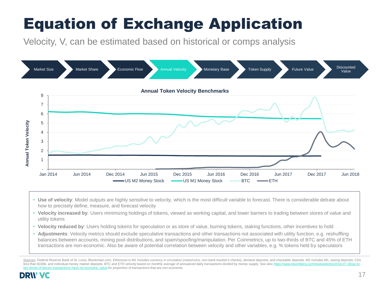Velocity, V, can be estimated based on historical or comps analysis



- **Use of velocity**: Model outputs are highly sensitive to velocity, which is the most difficult variable to forecast. There is considerable debate about how to precisely define, measure, and forecast velocity
- **Velocity increased by**: Users minimizing holdings of tokens, viewed as working capital, and lower barriers to trading between stores of value and utility tokens
- **Velocity reduced by**: Users holding tokens for speculation or as store of value, burning tokens, staking functions, other incentives to hold
- **Adjustments**: Velocity metrics should exclude speculative transactions and other transactions not associated with utility function, e.g. reshuffling balances between accounts, mining pool distributions, and spam/spoofing/manipulation. Per Coinmetrics, up to two-thirds of BTC and 45% of ETH transactions are non-economic. Also be aware of potential correlation between velocity and other variables, e.g. % tokens held by speculators

Sources: Federal Reserve Bank of St. Louis, Blockchain.com, Etherscan.io M1 includes currency in circulation (notes/coins, non-bank traveler's checks), demand deposits, and checkable deposits. M2 includes M1. saving deposi less than \$100k, and individual money market deposits. BTC and ETH velocity based on monthly average of annualized daily transactions divided by money supply. See also https://www.bloomberg.com/news/articles/2018-07-26/upransactions-have-no-economic-value for proportion of transactions that are non-economic

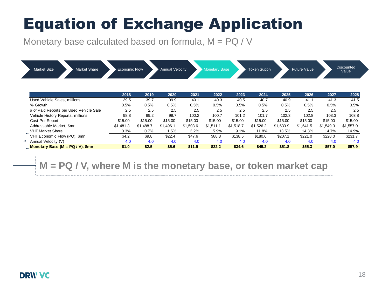Monetary base calculated based on formula,  $M = PQ / V$ 

| <b>Market Size</b><br>Market Share      | <b>Economic Flow</b> |           | <b>Annual Velocity</b> |           | <b>Monetary Base</b> |           | <b>Token Supply</b> |           | <b>Future Value</b> |           | <b>Discounted</b><br>Value |
|-----------------------------------------|----------------------|-----------|------------------------|-----------|----------------------|-----------|---------------------|-----------|---------------------|-----------|----------------------------|
|                                         | 2018                 | 2019      | 2020                   | 2021      | 2022                 | 2023      | 2024                | 2025      | 2026                | 2027      | 2028                       |
| Used Vehicle Sales, millions            | 39.5                 | 39.7      | 39.9                   | 40.1      | 40.3                 | 40.5      | 40.7                | 40.9      | 41.1                | 41.3      | 41.5                       |
| % Growth                                | 0.5%                 | 0.5%      | 0.5%                   | 0.5%      | 0.5%                 | 0.5%      | 0.5%                | 0.5%      | 0.5%                | 0.5%      | 0.5%                       |
| # of Paid Reports per Used Vehicle Sale | 2.5                  | 2.5       | 2.5                    | 2.5       | 2.5                  | 2.5       | 2.5                 | 2.5       | 2.5                 | 2.5       | 2.5                        |
| Vehicle History Reports, millions       | 98.8                 | 99.2      | 99.7                   | 100.2     | 100.7                | 101.2     | 101.7               | 102.3     | 102.8               | 103.3     | 103.8                      |
| Cost Per Report                         | \$15.00              | \$15.00   | \$15.00                | \$15.00   | \$15.00              | \$15.00   | \$15.00             | \$15.00   | \$15.00             | \$15.00   | \$15.00                    |
| Addressable Market, \$mn                | \$1,481.3            | \$1,488.7 | \$1,496.1              | \$1,503.6 | \$1.511.1            | \$1,518.7 | \$1,526.2           | \$1,533.9 | \$1,541.5           | \$1,549.3 | \$1,557.0                  |
| <b>VHT Market Share</b>                 | 0.3%                 | 0.7%      | 1.5%                   | 3.2%      | 5.9%                 | 9.1%      | 11.8%               | 13.5%     | 14.3%               | 14.7%     | 14.9%                      |

VHT Economic Flow (PQ), \$mn \$4.2 \$9.8 \$22.4 \$47.6 \$88.8 \$138.5 \$180.6 \$207.1 \$221.0 \$228.0 \$231.7 Annual Velocity (V) 4.0 4.0 4.0 4.0 4.0 4.0 4.0 4.0 4.0 4.0 **Monetary Base (M = PQ / V), \$mn \$1.0 \$2.5 \$5.6 \$11.9 \$22.2 \$34.6 \$45.2 \$51.8 \$55.3 \$57.0 \$57.9**

## **M = PQ / V, where M is the monetary base, or token market cap**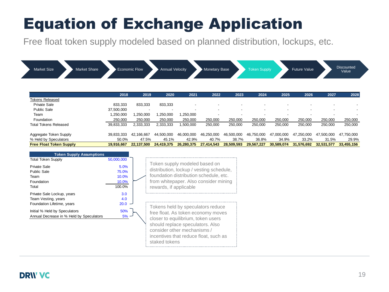Free float token supply modeled based on planned distribution, lockups, etc.

| <b>Market Share</b><br><b>Market Size</b> |            | <b>Economic Flow</b> | <b>Annual Velocity</b> |                          | <b>Monetary Base</b> |                          | <b>Token Supply</b> |            | <b>Future Value</b>      |            | <b>Discounted</b><br>Value |
|-------------------------------------------|------------|----------------------|------------------------|--------------------------|----------------------|--------------------------|---------------------|------------|--------------------------|------------|----------------------------|
|                                           | 2018       | 2019                 | 2020                   | 2021                     | 2022                 | 2023                     | 2024                | 2025       | 2026                     | 2027       | 2028                       |
| Tokens Released                           |            |                      |                        |                          |                      |                          |                     |            |                          |            |                            |
| Private Sale                              | 833,333    | 833,333              | 833,333                | $\overline{\phantom{0}}$ |                      |                          |                     |            |                          |            |                            |
| <b>Public Sale</b>                        | 37,500,000 |                      |                        | $\overline{a}$           | $\overline{a}$       | $\overline{\phantom{0}}$ | $\overline{a}$      |            | $\overline{\phantom{a}}$ |            |                            |
| Team                                      | 1,250,000  | 1,250,000            | ,250,000               | 1,250,000                | $\overline{a}$       | $\blacksquare$           | $\overline{a}$      |            |                          |            |                            |
| Foundation                                | 250,000    | 250,000              | 250,000                | 250,000                  | 250,000              | 250,000                  | 250,000             | 250,000    | 250,000                  | 250,000    | 250,000                    |
| Total Tokens Released                     | 39,833,333 | 2,333,333            | 2,333,333              | 1,500,000                | 250,000              | 250,000                  | 250,000             | 250,000    | 250,000                  | 250,000    | 250,000                    |
| Aggregate Token Supply                    | 39,833,333 | 42,166,667           | 44,500,000             | 46,000,000               | 46,250,000           | 46,500,000               | 46,750,000          | 47,000,000 | 47,250,000               | 47,500,000 | 47,750,000                 |
| % Held by Speculators                     | 50.0%      | 47.5%                | 45.1%                  | 42.9%                    | 40.7%                | 38.7%                    | 36.8%               | 34.9%      | 33.2%                    | 31.5%      | 29.9%                      |
| <b>Free Float Token Supply</b>            | 19,916,667 | 22,137,500           | 24,419,375             | 26,280,375               | 27,414,543           | 28,509,593               | 29,567,227          | 30,589,074 | 31,576,692               | 32,531,577 | 33,455,156                 |

| <b>Token Supply Assumptions</b>                                                 |                                           |                                                                                                                                                                                                                                            |
|---------------------------------------------------------------------------------|-------------------------------------------|--------------------------------------------------------------------------------------------------------------------------------------------------------------------------------------------------------------------------------------------|
| <b>Total Token Supply</b>                                                       | 50,000,000                                |                                                                                                                                                                                                                                            |
| Private Sale<br>Public Sale<br>Team<br>Foundation<br>Total                      | 5.0%<br>75.0%<br>10.0%<br>10.0%<br>100.0% | Token supply modeled based on<br>distribution, lockup / vesting schedule,<br>foundation distribution schedule, etc.<br>from whitepaper. Also consider mining<br>rewards, if applicable                                                     |
| Private Sale Lockup, years<br>Team Vesting, years<br>Foundation Lifetime, years | 3.0<br>4.0<br>20.0                        |                                                                                                                                                                                                                                            |
| Initial % Held by Speculators<br>Annual Decrease in % Held by Speculators       | 50%<br>5%                                 | Tokens held by speculators reduce<br>free float. As token economy moves<br>closer to equilibrium, token users<br>should replace speculators. Also<br>consider other mechanisms /<br>incentives that reduce float, such as<br>staked tokens |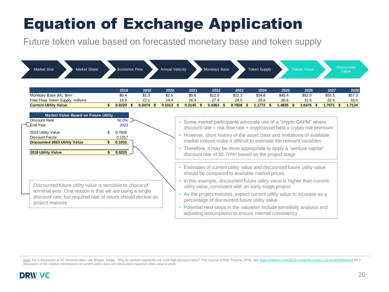Future token value based on forecasted monetary base and token supply

| <b>Market Size</b><br><b>Market Share</b>                                                                                                       | <b>Economic Flow</b>                                           |               | <b>Annual Velocity</b> |               | Monetary Base                                         |                | <b>Token Supply</b> |                | <b>Future Value</b>                                                                                                                                                                                                                                                                                                                                                    |                | <b>Discounted</b><br>Value |
|-------------------------------------------------------------------------------------------------------------------------------------------------|----------------------------------------------------------------|---------------|------------------------|---------------|-------------------------------------------------------|----------------|---------------------|----------------|------------------------------------------------------------------------------------------------------------------------------------------------------------------------------------------------------------------------------------------------------------------------------------------------------------------------------------------------------------------------|----------------|----------------------------|
|                                                                                                                                                 | 2018                                                           | 2019          | 2020                   | 2021          | 2022                                                  | 2023           | 2024                | 2025           | 2026                                                                                                                                                                                                                                                                                                                                                                   | 2027           | 2028                       |
| Monetary Base (M), \$mn<br>Free Float Token Supply, millions                                                                                    | \$0.4<br>19.9                                                  | \$1.0<br>22.1 | \$2.5<br>24.4          | \$5.6<br>26.3 | \$12.0<br>27.4                                        | \$22.3<br>28.5 | \$34.8<br>29.6      | \$45.4<br>30.6 | \$52.0<br>31.6                                                                                                                                                                                                                                                                                                                                                         | \$55.5<br>32.5 | \$57.3<br>33.5             |
| <b>Current Utility Value</b>                                                                                                                    | 0.0220<br>\$.                                                  | 0.0474        | 0.1013                 | $0.2145$ \$   | 0.4363                                                | 0.7828<br>-\$  | 1.1772<br>- \$      | 1.4835<br>- \$ | 1.6476<br>- \$                                                                                                                                                                                                                                                                                                                                                         | 1.7071         | 1.7124                     |
| <b>Discount Rate</b><br>∟End Year<br>2023 Utility Value<br><b>Discount Factor</b><br><b>Discounted 2023 Utility Value</b><br>2018 Utility Value | $50.0\%$<br>2023<br>0.7828<br>0.1317<br>0.1031<br>0.0220<br>\$ |               |                        |               | discount rate of 30-70%* based on the project stage   |                |                     |                | • Some market participants advocate use of a "crypto CAPM" where<br>$discount$ rate = risk-free rate + cryptoasset beta x crypto risk premium<br>However, short history of the asset class and limitations of available<br>market indices make it difficult to estimate the relevant variables<br>• Therefore, it may be more appropriate to apply a "venture capital" |                |                            |
|                                                                                                                                                 |                                                                |               |                        |               | should be compared to available market prices         |                |                     |                | • Estimates of current utility value and discounted future utility value                                                                                                                                                                                                                                                                                               |                |                            |
| Discounted future utility value is sensitive to choice of                                                                                       |                                                                |               |                        |               | utility value, consistent with an early-stage project |                |                     |                | • In this example, discounted future utility value is higher than current                                                                                                                                                                                                                                                                                              |                |                            |
| terminal year. One reason is that we are using a single<br>discount rate, but required rate of return should decline as<br>project matures      |                                                                |               |                        |               | percentage of discounted future utility value         |                |                     |                | As the project matures, expect current utility value to increase as a                                                                                                                                                                                                                                                                                                  |                |                            |
|                                                                                                                                                 |                                                                |               |                        |               | adjusting assumptions to ensure internal consistency  |                |                     |                | • Potential next steps in the valuation include sensitivity analysis and                                                                                                                                                                                                                                                                                               |                |                            |

Note: For a discussion of VC discount rates, see Bhagat, Sanjai, "Why do venture capitalists use such high discount rates?" The Journal of Risk Finance, 2014. See https://medium.com/@cburniske/the-crypto-j-curve-be5fdddafa discussion of the relative contributions of current utility value and discounted expected utility value to price.

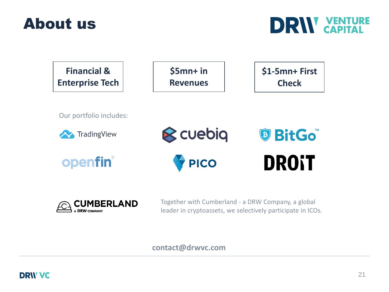







Together with Cumberland - a DRW Company, a global leader in cryptoassets, we selectively participate in ICOs.

### **contact@drwvc.com**